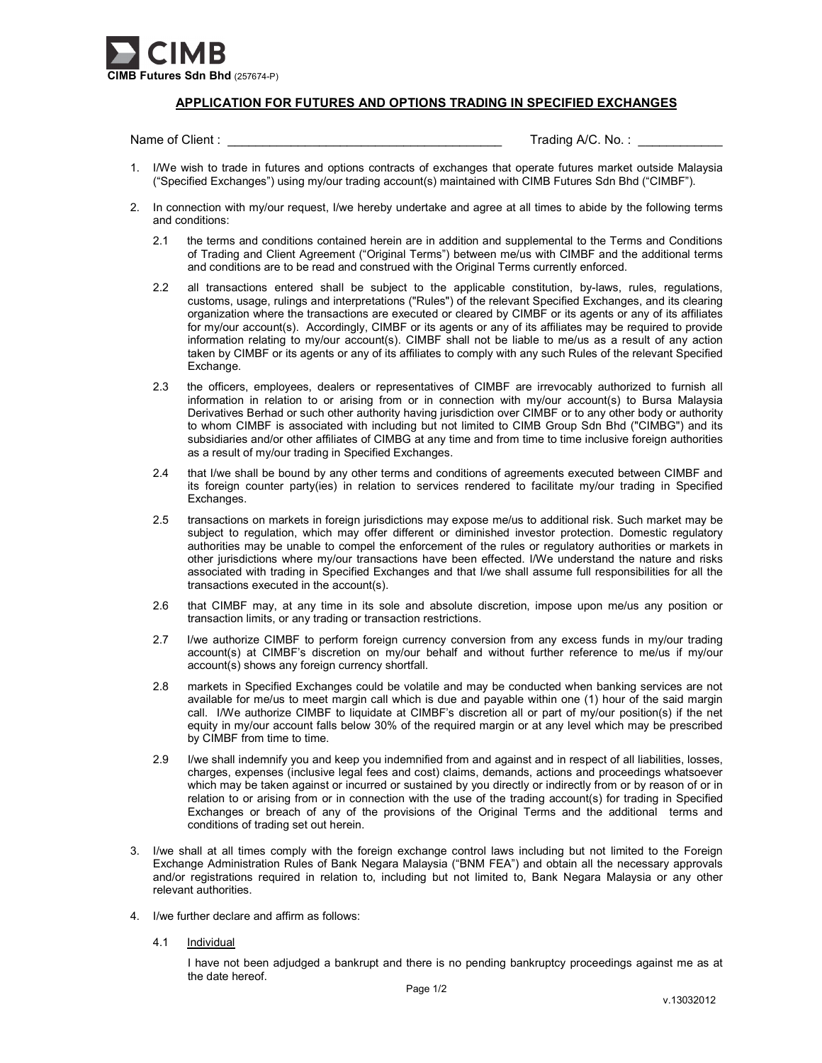

## APPLICATION FOR FUTURES AND OPTIONS TRADING IN SPECIFIED EXCHANGES

Name of Client : \_\_\_\_\_\_\_\_\_\_\_\_\_\_\_\_\_\_\_\_\_\_\_\_\_\_\_\_\_\_\_\_\_\_\_\_\_\_\_ Trading A/C. No. : \_\_\_\_\_\_\_\_\_\_\_\_

- 1. I/We wish to trade in futures and options contracts of exchanges that operate futures market outside Malaysia ("Specified Exchanges") using my/our trading account(s) maintained with CIMB Futures Sdn Bhd ("CIMBF").
- 2. In connection with my/our request, I/we hereby undertake and agree at all times to abide by the following terms and conditions:
	- 2.1 the terms and conditions contained herein are in addition and supplemental to the Terms and Conditions of Trading and Client Agreement ("Original Terms") between me/us with CIMBF and the additional terms and conditions are to be read and construed with the Original Terms currently enforced.
	- 2.2 all transactions entered shall be subject to the applicable constitution, by-laws, rules, regulations, customs, usage, rulings and interpretations ("Rules") of the relevant Specified Exchanges, and its clearing organization where the transactions are executed or cleared by CIMBF or its agents or any of its affiliates for my/our account(s). Accordingly, CIMBF or its agents or any of its affiliates may be required to provide information relating to my/our account(s). CIMBF shall not be liable to me/us as a result of any action taken by CIMBF or its agents or any of its affiliates to comply with any such Rules of the relevant Specified Exchange.
	- 2.3 the officers, employees, dealers or representatives of CIMBF are irrevocably authorized to furnish all information in relation to or arising from or in connection with my/our account(s) to Bursa Malaysia Derivatives Berhad or such other authority having jurisdiction over CIMBF or to any other body or authority to whom CIMBF is associated with including but not limited to CIMB Group Sdn Bhd ("CIMBG") and its subsidiaries and/or other affiliates of CIMBG at any time and from time to time inclusive foreign authorities as a result of my/our trading in Specified Exchanges.
	- 2.4 that I/we shall be bound by any other terms and conditions of agreements executed between CIMBF and its foreign counter party(ies) in relation to services rendered to facilitate my/our trading in Specified Exchanges.
	- 2.5 transactions on markets in foreign jurisdictions may expose me/us to additional risk. Such market may be subject to regulation, which may offer different or diminished investor protection. Domestic regulatory authorities may be unable to compel the enforcement of the rules or regulatory authorities or markets in other jurisdictions where my/our transactions have been effected. I/We understand the nature and risks associated with trading in Specified Exchanges and that I/we shall assume full responsibilities for all the transactions executed in the account(s).
	- 2.6 that CIMBF may, at any time in its sole and absolute discretion, impose upon me/us any position or transaction limits, or any trading or transaction restrictions.
	- 2.7 I/we authorize CIMBF to perform foreign currency conversion from any excess funds in my/our trading account(s) at CIMBF's discretion on my/our behalf and without further reference to me/us if my/our account(s) shows any foreign currency shortfall.
	- 2.8 markets in Specified Exchanges could be volatile and may be conducted when banking services are not available for me/us to meet margin call which is due and payable within one (1) hour of the said margin call. I/We authorize CIMBF to liquidate at CIMBF's discretion all or part of my/our position(s) if the net equity in my/our account falls below 30% of the required margin or at any level which may be prescribed by CIMBF from time to time.
	- 2.9 I/we shall indemnify you and keep you indemnified from and against and in respect of all liabilities, losses, charges, expenses (inclusive legal fees and cost) claims, demands, actions and proceedings whatsoever which may be taken against or incurred or sustained by you directly or indirectly from or by reason of or in relation to or arising from or in connection with the use of the trading account(s) for trading in Specified Exchanges or breach of any of the provisions of the Original Terms and the additional terms and conditions of trading set out herein.
- 3. I/we shall at all times comply with the foreign exchange control laws including but not limited to the Foreign Exchange Administration Rules of Bank Negara Malaysia ("BNM FEA") and obtain all the necessary approvals and/or registrations required in relation to, including but not limited to, Bank Negara Malaysia or any other relevant authorities.
- 4. I/we further declare and affirm as follows:
	- 4.1 Individual

I have not been adjudged a bankrupt and there is no pending bankruptcy proceedings against me as at the date hereof.